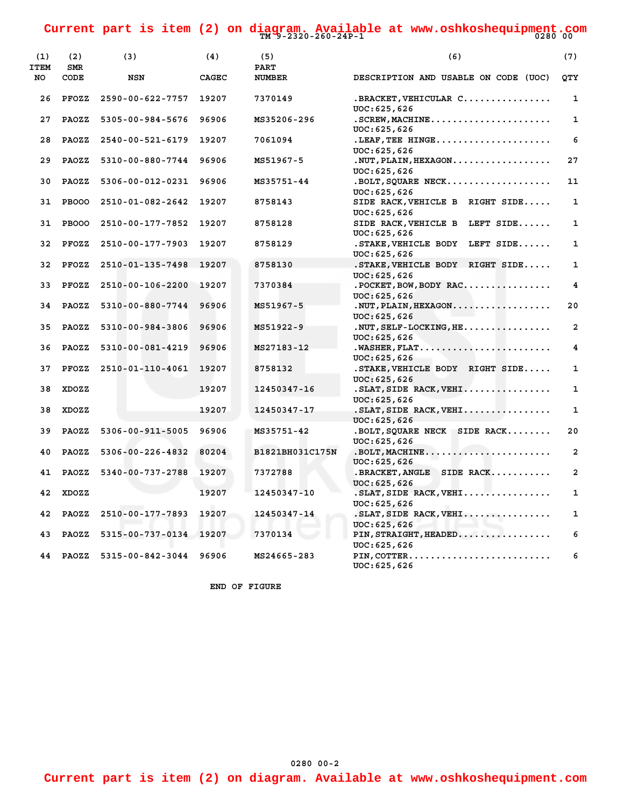**TM 9-2320-260-24P-1 0280 00 Current part is item (2) on diagram. Available at www.oshkoshequipment.com**

| (1)<br><b>ITEM</b> | (2)<br><b>SMR</b> | (3)                    | (4)   | (5)<br><b>PART</b> | (6)                                                 | (7)                     |
|--------------------|-------------------|------------------------|-------|--------------------|-----------------------------------------------------|-------------------------|
| NO                 | CODE              | NSN                    | CAGEC | <b>NUMBER</b>      | DESCRIPTION AND USABLE ON CODE (UOC)                | <b>OTY</b>              |
| 26                 | PFOZZ             | 2590-00-622-7757       | 19207 | 7370149            | .BRACKET, VEHICULAR C<br>UOC: 625, 626              | $\mathbf{1}$            |
| 27                 | <b>PAOZZ</b>      | 5305-00-984-5676       | 96906 | MS35206-296        | UOC: 625, 626                                       | $\mathbf{1}$            |
| 28                 | <b>PAOZZ</b>      | 2540-00-521-6179       | 19207 | 7061094            | .LEAF, TEE HINGE<br>UOC: 625, 626                   | 6                       |
| 29                 | PAOZZ             | 5310-00-880-7744       | 96906 | MS51967-5          | . NUT, PLAIN, HEXAGON.<br>UOC: 625, 626             | 27                      |
| 30                 | PAOZZ             | 5306-00-012-0231       | 96906 | MS35751-44         | . BOLT, SQUARE NECK<br>UOC: 625, 626                | 11                      |
| 31                 | <b>PBOOO</b>      | 2510-01-082-2642       | 19207 | 8758143            | SIDE RACK, VEHICLE B<br>RIGHT SIDE<br>UOC: 625, 626 | 1                       |
| 31                 | <b>PBOOO</b>      | 2510-00-177-7852       | 19207 | 8758128            | SIDE RACK, VEHICLE B<br>LEFT SIDE<br>UOC: 625, 626  | $\mathbf{1}$            |
| 32                 | PFOZZ             | 2510-00-177-7903       | 19207 | 8758129            | .STAKE, VEHICLE BODY<br>LEFT SIDE<br>UOC: 625, 626  | 1                       |
| 32                 | PFOZZ             | 2510-01-135-7498       | 19207 | 8758130            | .STAKE, VEHICLE BODY RIGHT SIDE<br>UOC: 625, 626    | $\mathbf{1}$            |
| 33                 | PFOZZ             | 2510-00-106-2200       | 19207 | 7370384            | $.POCKEY$ , BOW, BODY RAC<br>UOC: 625, 626          | 4                       |
| 34                 | <b>PAOZZ</b>      | 5310-00-880-7744       | 96906 | MS51967-5          | . NUT, PLAIN, HEXAGON.<br>UOC: 625, 626             | 20                      |
| 35                 | <b>PAOZZ</b>      | 5310-00-984-3806       | 96906 | MS51922-9          | UOC: 625, 626                                       | $\overline{a}$          |
| 36                 | <b>PAOZZ</b>      | 5310-00-081-4219       | 96906 | MS27183-12         | UOC: 625, 626                                       | $\overline{\mathbf{4}}$ |
| 37                 | PFOZZ             | 2510-01-110-4061       | 19207 | 8758132            | . STAKE, VEHICLE BODY RIGHT SIDE<br>UOC: 625, 626   | $\mathbf{1}$            |
| 38                 | XDOZZ             |                        | 19207 | 12450347-16        | . SLAT, SIDE RACK, VEHI<br>UOC: 625, 626            | 1                       |
| 38                 | XDOZZ             |                        | 19207 | 12450347-17        | .SLAT, SIDE RACK, VEHI<br>UOC: 625, 626             | 1                       |
| 39                 | PAOZZ             | 5306-00-911-5005       | 96906 | MS35751-42         | . BOLT, SQUARE NECK SIDE RACK<br>UOC: 625, 626      | 20                      |
| 40                 | <b>PAOZZ</b>      | 5306-00-226-4832       | 80204 | B1821BH031C175N    | . BOLT, MACHINE<br>UOC: 625, 626                    | $\overline{a}$          |
| 41                 | <b>PAOZZ</b>      | 5340-00-737-2788       | 19207 | 7372788            | .BRACKET, ANGLE SIDE RACK<br>UOC: 625, 626          | $\overline{a}$          |
| 42                 | XDOZZ             |                        | 19207 | 12450347-10        | .SLAT, SIDE RACK, VEHI<br>UOC: 625, 626             | $\mathbf{1}$            |
| 42                 | <b>PAOZZ</b>      | 2510-00-177-7893       | 19207 | 12450347-14        | .SLAT, SIDE RACK, VEHI<br>UOC: 625, 626             | $\mathbf{1}$            |
| 43                 | PAOZZ             | 5315-00-737-0134       | 19207 | 7370134            | PIN, STRAIGHT, HEADED                               | 6                       |
| 44                 | PAOZZ             | 5315-00-842-3044 96906 |       | MS24665-283        | UOC: 625, 626<br>PIN, COTTER<br>UOC: 625, 626       | 6                       |

 **END OF FIGURE**

**Current part is item (2) on diagram. Available at www.oshkoshequipment.com**